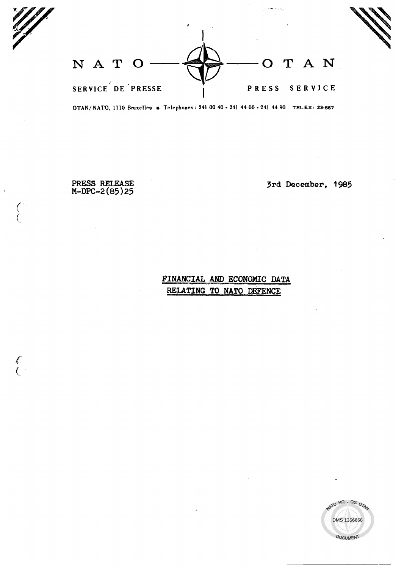NATO OTAN SERVICE DE PRESSE PRESS SERVICE

OTAN/NATO, 1110 Bruxelles = Telephones: 241 00 40 - 241 44 00 - 241 44 90 TELEX: 23-867

PRESS RELEASE  $M-DPC-2(85)25$ 

 $\binom{6}{1}$ 

 $\begin{pmatrix} 1 & 1 \\ 1 & 1 \end{pmatrix}$ 

3rd December, 1985

يون با مبارد

# FINANCIAL AND ECONOMIC DATA RELATING TO NATO DEFENCE

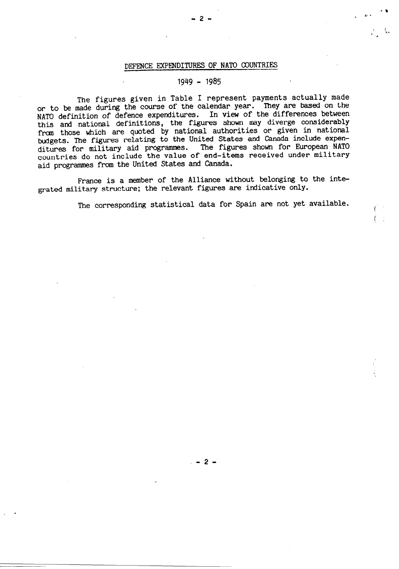## DEFENCE EXPENDITURES OF NATO COUNTRIES

# 1949 - 1985

The figures given in Table I represent payments actually made or to be made during the course of the calendar year. They are based on the NATO definition of defence expenditures. In view of the differences between this and national definitions, the figures shown may diverge considerably from those which are quoted by national authorities or given in national budgets. The figures relating to the United States and Canada include expenditures for military aid programmes. The figures shown for European NATO countries do not include the value of end-items received under military aid programmes from the United States and Canada.

France is a member of the Alliance without belonging to the integrated military structure; the relevant figures are indicative only.

The corresponding statistical data for Spain are not yet available.

-2-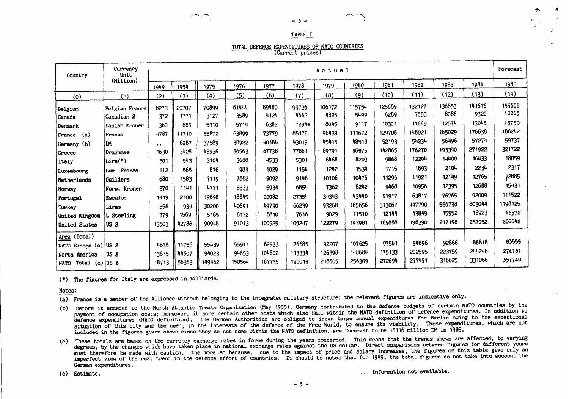### TABLE I

 $-3 -$ 

### TOTAL DEFENCE EXPENDITURES OF NATO COUNTRIES

(Current prices)

| Country                                | Currency<br>Unit  | Actual               |       |        |               |               |                |                |                |                |                |                | Forecast       |                 |
|----------------------------------------|-------------------|----------------------|-------|--------|---------------|---------------|----------------|----------------|----------------|----------------|----------------|----------------|----------------|-----------------|
|                                        | (Million)         | 1949                 | 1954  | 1975   | 1976          | 1977          | 1978           | 1979           | 1980           | 1981           | 1982           | 1983           | 1984           | 1985            |
| (0)                                    | (1)               | (2)                  | (3)   | (4)    | (5)           | (6)           | (7)            | (8)            | (9)            | (10)           | (11)           | (12)           | (13)           | (14)            |
| Belgium                                | Belgian Francs    | 8273                 | 20707 | 70899  | 81444<br>3589 | 89480<br>4124 | 99726<br>4662  | 106472<br>4825 | 115754<br>5499 | 125689<br>6289 | 132127<br>7655 | 136853<br>8086 | 141676<br>9320 | 155668<br>10263 |
| Canada                                 | Canadian 8        | 372                  | 1771  | 3127   | 5714          | 6382          |                | 8045           | 9117           | 10301          | 11669          | 12574          | 13045          | 13750           |
| Denmark                                | Danish Kroner     | 360                  | 885   | 5310   |               |               | 7294e<br>85175 | 96439          | 111672         | 129708         | 148021         | 165029         | 176638         | 186242          |
| (a)<br>France                          | Francs            | 4787                 | 11710 | 55872  | 63899         | 73779         |                | 45415          | 48518          | 52193          | 54234          | 56496          | 57274          | 59737           |
| Germany (b)                            | IDM.              | $\ddot{\phantom{1}}$ | 6287  | 37589  | 38922         | 40184         | 43019          |                | 96975          | 142865         | 176270         | 193340         | 271922         | 321722          |
| Greece                                 | Drachmae          | 1630                 | 3428  | 45936  | 56963         | 67738         | 77861          | 89791          |                | 9868           | 12294          | 14400          | 16433          | 18059           |
| Italy                                  | Lira(*)           | 301                  | 543   | 3104   | 3608          | 4533          | 5301           | 6468           | 8203           |                |                |                | 2234           | 2317            |
| Luxembourg                             | Lux. Francs       | 112                  | 565   | 836    | 983           | 1029          | 1154           | 1242           | 1534           | 1715           | 1893           | 2104           |                |                 |
| Netherlands                            | <b>Guilders</b>   | 680                  | 1583  | 7119   | 7662          | 9092          | 9146           | 10106          | 10476          | 11296          | 11921          | 12149          | 12765          | 12885           |
| Norway                                 | Norw. Kroner      | 370                  | 1141  | 4771   | 5333          | 5934          | 6854           | 7362           | 8242           | 9468           | 10956          | 12395          | 12688          | 15431           |
| Portugal                               | <b>Escudos</b>    | 1419                 | 2100  | 19898  | 18845         | 22082         | 27354          | 34343          | 43440          | 51917          | 63817          | 76765          | 92009          | 111522          |
| Turkey                                 | Liras             | 556                  | 934   | 30200  | 40691         | 49790         | 66239          | 93268          | 185656         | 313067         | 447790         | 556738         | 803044         | 1198125         |
| United Kingdom                         | <b>L</b> Sterling | 779                  | 1569  | 5165   | 6132          | 6810          | 7616           | 9029           | 11510          | 12144          | 13849          | 15952          | 16923          | 18572           |
| <b>United States</b>                   | IUS 8             | 13503                | 42786 | 90948  | 91013         | 100925        | 109247         | 122279         | 143981         | 169888         | 196390         | 217198         | 237052         | 266642          |
| Area (Total)                           |                   |                      |       |        |               |               |                |                |                |                |                |                |                |                 |
| NATO Europe (c) US 8                   |                   | 4838                 | 11756 | 55439  | 55911         | 62933         | 76685          | 92207          | 107625         | 97561          | 94896          | 92866          | 86818          | 83559           |
| North America                          | lus s             | 13875                | 44607 | 94023  | 94653         | 104802        | 113334         | 126398         | 148684         | 175133         | 202595         | 223759         | 244248         | 274181          |
| Total $(c)$ US $\delta$<br><b>NATO</b> |                   | 18713                | 56363 | 149462 | 150564        | 167735        | 190019         | 218605         | 256309         | 272694         | 297491         | 316625         | 331066         | 357740          |

(\*) The figures for Italy are expressed in milliards.

Notes:

- (a) France is a member of the Alliance without belonging to the integrated military structure; the relevant figures are indicative only.
- (b) Before it acceded to the North Atlantic Treaty Organization (May 1955), Germany contributed to the defence budgets of certain NATO countries by the payment of occupation costs; moreover, it bore certain other costs which also fall within the NATO definition of defence expenditures. In addition to defence expenditures (NATO definition), the German Authorities are obliged to incur large annual expenditures for Berlin owing to the exceptional situation of this city and the need, in the interests of the defence of the Free World, to ensure its viability. These expenditures, which are not included in the figures given above since they do not come within the NATO definition, are forecast to be 15116 million DM in 1985.
- (c) These totals are based on the currency exchange rates in force during the years concerned. This means that the trends shown are affected, to varying degrees, by the changes which have taken place in national exchange rates against the US dollar. Direct comparisons between figures for different years must therefore be made with caution, the more so because, due to the impact of price and salary increases, the figures on this table give only an imperfect view of the real trend in the defence effort of countries. It should be noted that for 1949, the total figures do not take into account the German expenditures.

(e) Estimate.

.. Information not available.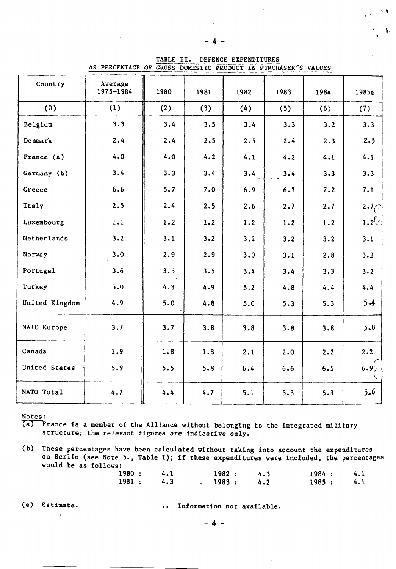|                | AS LERCENTAGE OF GROSS DOMESTIC FRODUCT IN FUNCHASER S VALUES |      |      |      |      |      |            |
|----------------|---------------------------------------------------------------|------|------|------|------|------|------------|
| Country        | Average<br>1975-1984                                          | 1980 | 1981 | 1982 | 1983 | 1984 | 1985e      |
| (0)            | (1)                                                           | (2)  | (3)  | (4)  | (5)  | (6)  | (7)        |
| Belgium        | 3.3                                                           | 3.4  | 3.5  | 3.4  | 3.3  | 3.2  | 3.3        |
| Denmark        | 2.4                                                           | 2.4  | 2.5  | 2.5  | 2.4  | 2.3  | 2.3        |
| France (a)     | 4.0                                                           | 4.0  | 4.2  | 4.1  | 4.2  | 4.1  | 4.1        |
| Germany (b)    | 3.4                                                           | 3.3  | 3.4  | 3.4  | 3.4  | 3.3  | 3.3        |
| Greece         | 6.6                                                           | 5.7  | 7.0  | 6.9  | 6.3  | 7.2  | 7.1        |
| Italy          | 2.5                                                           | 2.4  | 2.5  | 2.6  | 2.7  | 2.7  | $2.7e^{t}$ |
| Luxembourg     | 1.1                                                           | 1.2  | 1.2  | 1.2  | 1.2  | 1.2  | $1.2^{6}$  |
| Netherlands    | 3.2                                                           | 3.1  | 3.2  | 3:2  | 3.2  | 3.2  | 3.1        |
| Norway         | 3.0                                                           | 2.9  | 2.9  | 3.0  | 3.1  | 2.8  | 3.2        |
| Portugal       | 3.6                                                           | 3.5  | 3.5  | 3.4  | 3.4  | 3.3  | 3.2        |
| Turkey         | 5.0                                                           | 4.3  | 4.9  | 5.2  | 4.8  | 4.4  | 4.4        |
| United Kingdom | 4.9                                                           | 5.0  | 4.8  | 5.0  | 5.3  | 5.3  | $5 - 4$    |
| NATO Europe    | 3.7                                                           | 3.7  | 3.8  | 3.8  | 3.8  | 3.8  | $3 - 8$    |
| Canada         | 1.9                                                           | 1.8  | 1.8  | 2.1  | 2.0  | 2.2  | 2.2        |
| United States  | 5.9                                                           | 5.5  | 5.8  | 6.4  | 6.6  | 6.5  | $6.9^{1}$  |
| NATO Total     | 4.7                                                           | 4.4  | 4.7  | 5.1  | 5.3  | 5.3  | 5.6        |

TABLE II. DEFENCE EXPENDITURES AS PERCENTAGE OF GROSS DOMESTIC PRODUCT IN PURCHASER'S VALUES

Notes:

 $\overline{(a)}$  France is a member of the Alliance without belonging to the integrated military structure; the relevant figures are indicative only.

|                      |  |  |  | (b) These percentages have been calculated without taking into account the expenditures |
|----------------------|--|--|--|-----------------------------------------------------------------------------------------|
|                      |  |  |  | on Berlin (see Note b., Table I); if these expenditures were included, the percentages  |
| would be as follows: |  |  |  |                                                                                         |

| 1980: 4.1 |  | 1982 : 4.3 | 1984: 4.1 |  |
|-----------|--|------------|-----------|--|
| 1981: 4.3 |  | 1983:4.2   | 1985: 4.1 |  |

 $\omega_{\rm c}$  ,  $\omega_{\rm c}$ 

(e) Estimate. . . . . . . . . Information not available.

 $-4-$ 

, i'

 $\mathbb{S}^n$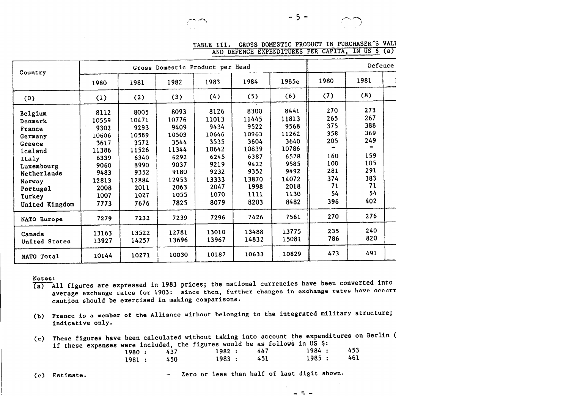

 $\sim$  .  $\sim$  ,  $\sim$  ,  $\sim$  ,  $\sim$  ,  $\sim$  ,  $\sim$  ,  $\sim$  ,  $\sim$  ,  $\sim$  ,  $\sim$  ,  $\sim$  ,  $\sim$  ,  $\sim$  ,  $\sim$  ,  $\sim$  ,  $\sim$  ,  $\sim$  ,  $\sim$  ,  $\sim$  ,  $\sim$  ,  $\sim$  ,  $\sim$  ,  $\sim$  ,  $\sim$  ,  $\sim$  ,  $\sim$  ,  $\sim$  ,  $\sim$  ,  $\sim$  ,  $\sim$  ,  $\sim$ 

TABLE III. GROSS DOMESTIC PRODUCT IN PURCHASER'S VALU AND DEFENCE EXPENDITURES PER CAPITA, IN US \$ (a)

| Country<br>(0)<br>Belgium<br>Denmark<br>France<br>Germany<br>Greece<br>Iceland<br>Italy<br>Luxembourg<br>Netherlands<br>Norway<br>Portugal<br>Turkey<br>United Kingdom<br>NATO Europe<br>Canada<br>United States |       | Gross Domestic Product per Head |       | Defence |       |       |      |      |  |
|------------------------------------------------------------------------------------------------------------------------------------------------------------------------------------------------------------------|-------|---------------------------------|-------|---------|-------|-------|------|------|--|
|                                                                                                                                                                                                                  | 1980  | 1981                            | 1982  | 1983    | 1984  | 1985e | 1980 | 1981 |  |
|                                                                                                                                                                                                                  | (1)   | (2)                             | (3)   | (4)     | (5)   | (6)   | (7)  | (8)  |  |
|                                                                                                                                                                                                                  | 8112  | 8005                            | 8093  | 8126    | 8300  | 8441  | 270  | 273  |  |
|                                                                                                                                                                                                                  | 10559 | 10471                           | 10776 | 11013   | 11445 | 11813 | 265  | 267  |  |
|                                                                                                                                                                                                                  | 9302  | 9293                            | 9409  | 9434    | 9522  | 9568  | 375  | 388  |  |
|                                                                                                                                                                                                                  | 10606 | 10589                           | 10503 | 10646   | 10963 | 11262 | 358  | 369  |  |
|                                                                                                                                                                                                                  | 3617  | 3572                            | 3544  | 3535    | 3604  | 3640  | 205  | 249  |  |
|                                                                                                                                                                                                                  | 11386 | 11526                           | 11344 | 10642   | 10839 | 10786 |      |      |  |
|                                                                                                                                                                                                                  | 6339  | 6340                            | 6292  | 6245    | 6387  | 6528  | 160  | 159  |  |
|                                                                                                                                                                                                                  | 9060  | 8990                            | 9037  | 9219    | 9422  | 9585  | 100  | 105  |  |
|                                                                                                                                                                                                                  | 9483  | 9352                            | 9180  | 9232    | 9352  | 9492  | 281  | 291  |  |
|                                                                                                                                                                                                                  | 12813 | 12884                           | 12953 | 13333   | 13870 | 14072 | 374  | 383  |  |
|                                                                                                                                                                                                                  | 2008  | 2011                            | 2063  | 2047    | 1998  | 2018  | 71   | 71   |  |
|                                                                                                                                                                                                                  | 1007  | 1027                            | 1055  | 1070    | 1111  | 1130  | 54   | 54   |  |
|                                                                                                                                                                                                                  | 7773  | 7676                            | 7825  | 8079    | 8203  | 8482  | 396  | 402  |  |
|                                                                                                                                                                                                                  | 7279  | 7232                            | 7239  | 7296    | 7426  | 7561  | 270  | 276  |  |
|                                                                                                                                                                                                                  | 13163 | 13522                           | 12781 | 13010   | 13488 | 13775 | 235  | 240  |  |
|                                                                                                                                                                                                                  | 13927 | 14257                           | 13696 | 13967   | 14832 | 15081 | 786  | 820  |  |
| NATO Total                                                                                                                                                                                                       | 10144 | 10271                           | 10030 | 10187   | 10633 | 10829 | 473  | 491  |  |

#### Notes:

- (a) All figures are expressed in 1983 prices; the national currencies have been converted into average exchange rates for 1983: since then, further changes in exchange rates have occurr caution should be exercised in making comparisons.
- (b) France is a member of the Alliance without belonging to the integrated military structure; indicative only.
- (c) These figures have been calculated without taking into account the expenditures on Berlin ( if these expenses were included, the figures would be as follows in US \$:

| 1980 : |           | 437 | 1982 :    | 447 | 1984 : | 453 |
|--------|-----------|-----|-----------|-----|--------|-----|
|        | 1981: 450 |     | 1983: 451 |     | 1985:  | 461 |

(e) Estimate. - Zero or less than half of last digit shown.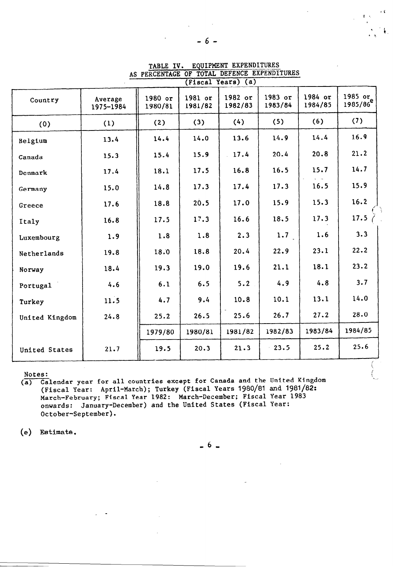|                |                      |                    |                    | (Fiscal Years) (a) |                    |                    |                                 |
|----------------|----------------------|--------------------|--------------------|--------------------|--------------------|--------------------|---------------------------------|
| Country        | Average<br>1975-1984 | 1980 or<br>1980/81 | 1981 or<br>1981/82 | 1982 or<br>1982/83 | 1983 or<br>1983/84 | 1984 or<br>1984/85 | 1985 or<br>1985/86 <sup>e</sup> |
| (0)            | (1)                  | (2)                | (3)                | (4)                | (5)                | (6)                | (7)                             |
| Belgium        | 13.4                 | 14.4               | 14.0               | 13.6               | 14.9               | 14.4               | 16.9                            |
| Canada         | 15.3                 | 15.4               | 15.9               | 17.4               | 20.4               | 20.8               | 21.2                            |
| Denmark        | 17.4                 | 18.1               | 17.5               | 16.8               | 16.5               | 15.7               | 14.7                            |
| Germany        | 15.0                 | 14.8               | 17.3               | 17.4               | 17.3               | 16.5               | 15.9                            |
| Greece         | 17.6                 | 18.8               | 20.5               | 17.0               | 15.9               | 15.3               | 16.2                            |
| Italy          | 16.8                 | 17.5               | 17.3               | 16.6               | 18.5               | 17.3               | 17.5                            |
| Luxembourg     | 1.9                  | 1.8                | 1.8                | 2.3                | 1.7                | 1.6                | 3.3                             |
| Netherlands    | 19.8                 | 18.0               | 18.8               | 20.4               | 22.9               | 23.1               | 22.2                            |
| Norway         | 18.4                 | 19.3               | 19.0               | 19.6               | 21.1               | 18.1               | 23.2                            |
| Portugal       | 4.6                  | 6.1                | 6.5                | 5.2                | 4.9                | 4.8                | 3.7                             |
| Turkey         | 11.5                 | 4.7                | 9.4                | 10.8               | 10.1               | 13.1               | 14.0                            |
| United Kingdom | 24.8                 | 25.2               | 26.5               | 25.6               | 26.7               | 27.2               | 28.0                            |
|                |                      | 1979/80            | 1980/81            | 1981/82            | 1982/83            | 1983/84            | 1984/85                         |
| United States  | 21.7                 | 19.5               | 20.3               | 21.3               | $-23.5$            | 25.2               | 25.6                            |

TABLE IV. EQUIPMENT EXPENDITURES AS PERCENTAGE OF TOTAL DEFENCE EXPENDITURES

# Notes:

(a) Calendar year for all countries except for Canada and the United Kingdom (Fiscal Year: April-March); Turkey (Fiscal Years 1980/81 and 1981/82: March-February; Fiscal Year 1982: March-December; Fiscal Year 1983 onwards: January-December) and the United States (Fiscal Year: October-September).

(e) Estimate.

 $-6$   $-$